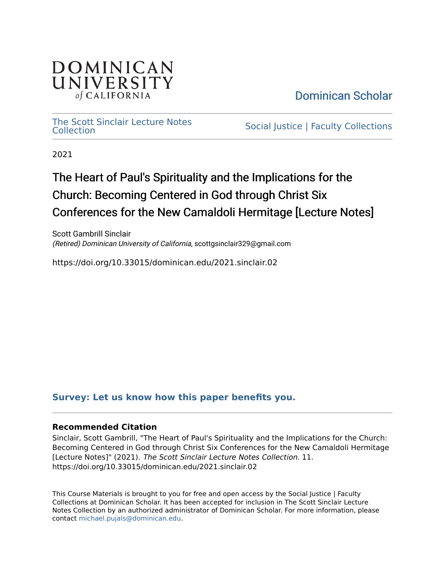

[Dominican Scholar](https://scholar.dominican.edu/) 

[The Scott Sinclair Lecture Notes](https://scholar.dominican.edu/religion-course-materials) The Scott Sincial Lecture Notes<br>[Collection](https://scholar.dominican.edu/religion-course-materials) Collections

2021

# The Heart of Paul's Spirituality and the Implications for the Church: Becoming Centered in God through Christ Six Conferences for the New Camaldoli Hermitage [Lecture Notes]

Scott Gambrill Sinclair (Retired) Dominican University of California, scottgsinclair329@gmail.com

https://doi.org/10.33015/dominican.edu/2021.sinclair.02

### **[Survey: Let us know how this paper benefits you.](https://dominican.libwizard.com/dominican-scholar-feedback)**

#### **Recommended Citation**

Sinclair, Scott Gambrill, "The Heart of Paul's Spirituality and the Implications for the Church: Becoming Centered in God through Christ Six Conferences for the New Camaldoli Hermitage [Lecture Notes]" (2021). The Scott Sinclair Lecture Notes Collection. 11. https://doi.org/10.33015/dominican.edu/2021.sinclair.02

This Course Materials is brought to you for free and open access by the Social Justice | Faculty Collections at Dominican Scholar. It has been accepted for inclusion in The Scott Sinclair Lecture Notes Collection by an authorized administrator of Dominican Scholar. For more information, please contact [michael.pujals@dominican.edu](mailto:michael.pujals@dominican.edu).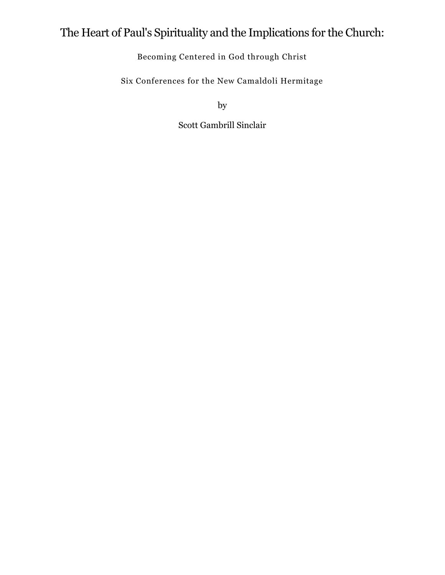# The Heart of Paul's Spirituality and the Implications for the Church:

Becoming Centered in God through Christ

Six Conferences for the New Camaldoli Hermitage

by

Scott Gambrill Sinclair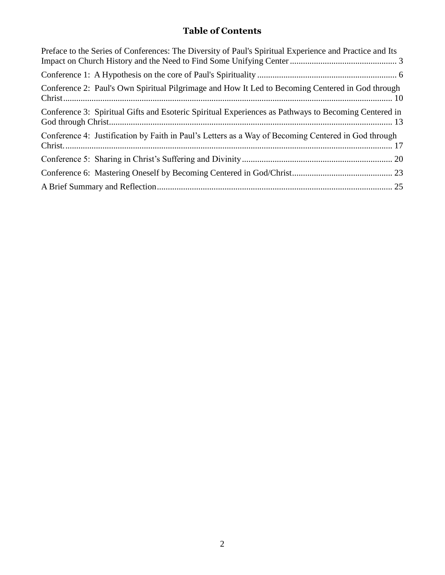### **Table of Contents**

| Preface to the Series of Conferences: The Diversity of Paul's Spiritual Experience and Practice and Its |
|---------------------------------------------------------------------------------------------------------|
|                                                                                                         |
| Conference 2: Paul's Own Spiritual Pilgrimage and How It Led to Becoming Centered in God through        |
| Conference 3: Spiritual Gifts and Esoteric Spiritual Experiences as Pathways to Becoming Centered in    |
| Conference 4: Justification by Faith in Paul's Letters as a Way of Becoming Centered in God through     |
|                                                                                                         |
|                                                                                                         |
|                                                                                                         |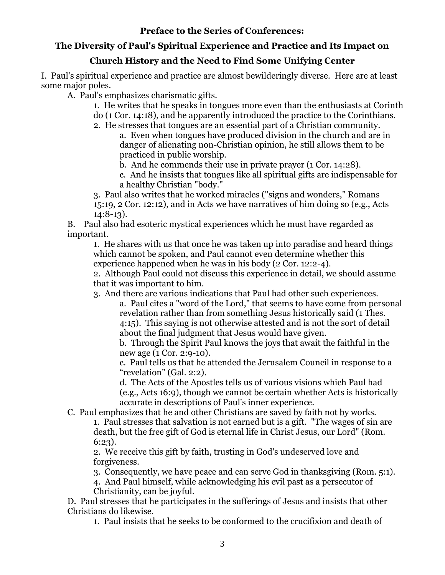### **Preface to the Series of Conferences:**

### <span id="page-3-0"></span>**The Diversity of Paul's Spiritual Experience and Practice and Its Impact on**

### **Church History and the Need to Find Some Unifying Center**

I. Paul's spiritual experience and practice are almost bewilderingly diverse. Here are at least some major poles.

A. Paul's emphasizes charismatic gifts.

1. He writes that he speaks in tongues more even than the enthusiasts at Corinth do (1 Cor. 14:18), and he apparently introduced the practice to the Corinthians.

2. He stresses that tongues are an essential part of a Christian community.

a. Even when tongues have produced division in the church and are in danger of alienating non-Christian opinion, he still allows them to be practiced in public worship.

b. And he commends their use in private prayer (1 Cor. 14:28).

c. And he insists that tongues like all spiritual gifts are indispensable for a healthy Christian "body."

3. Paul also writes that he worked miracles ("signs and wonders," Romans 15:19, 2 Cor. 12:12), and in Acts we have narratives of him doing so (e.g., Acts 14:8-13).

B. Paul also had esoteric mystical experiences which he must have regarded as important.

1. He shares with us that once he was taken up into paradise and heard things which cannot be spoken, and Paul cannot even determine whether this experience happened when he was in his body (2 Cor. 12:2-4).

2. Although Paul could not discuss this experience in detail, we should assume that it was important to him.

3. And there are various indications that Paul had other such experiences.

a. Paul cites a "word of the Lord," that seems to have come from personal revelation rather than from something Jesus historically said (1 Thes. 4:15). This saying is not otherwise attested and is not the sort of detail about the final judgment that Jesus would have given.

b. Through the Spirit Paul knows the joys that await the faithful in the new age (1 Cor. 2:9-10).

c. Paul tells us that he attended the Jerusalem Council in response to a "revelation" (Gal. 2:2).

d. The Acts of the Apostles tells us of various visions which Paul had (e.g., Acts 16:9), though we cannot be certain whether Acts is historically accurate in descriptions of Paul's inner experience.

C. Paul emphasizes that he and other Christians are saved by faith not by works.

1. Paul stresses that salvation is not earned but is a gift. "The wages of sin are death, but the free gift of God is eternal life in Christ Jesus, our Lord" (Rom. 6:23).

2. We receive this gift by faith, trusting in God's undeserved love and forgiveness.

3. Consequently, we have peace and can serve God in thanksgiving (Rom. 5:1).

4. And Paul himself, while acknowledging his evil past as a persecutor of Christianity, can be joyful.

D. Paul stresses that he participates in the sufferings of Jesus and insists that other Christians do likewise.

1. Paul insists that he seeks to be conformed to the crucifixion and death of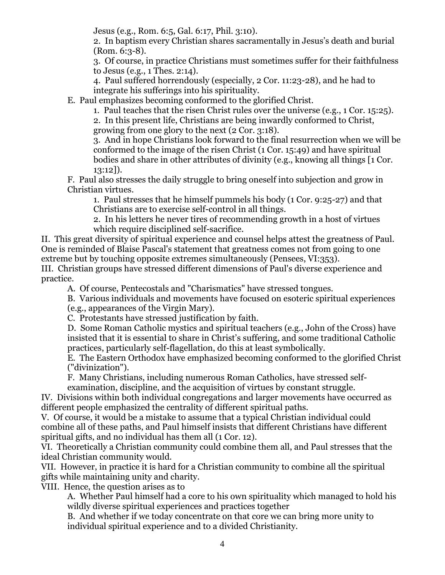Jesus (e.g., Rom. 6:5, Gal. 6:17, Phil. 3:10).

2. In baptism every Christian shares sacramentally in Jesus's death and burial (Rom. 6:3-8).

3. Of course, in practice Christians must sometimes suffer for their faithfulness to Jesus (e.g., 1 Thes. 2:14).

4. Paul suffered horrendously (especially, 2 Cor. 11:23-28), and he had to integrate his sufferings into his spirituality.

E. Paul emphasizes becoming conformed to the glorified Christ.

1. Paul teaches that the risen Christ rules over the universe (e.g., 1 Cor. 15:25). 2. In this present life, Christians are being inwardly conformed to Christ, growing from one glory to the next (2 Cor. 3:18).

3. And in hope Christians look forward to the final resurrection when we will be conformed to the image of the risen Christ (1 Cor. 15:49) and have spiritual bodies and share in other attributes of divinity (e.g., knowing all things [1 Cor. 13:12]).

F. Paul also stresses the daily struggle to bring oneself into subjection and grow in Christian virtues.

1. Paul stresses that he himself pummels his body (1 Cor. 9:25-27) and that Christians are to exercise self-control in all things.

2. In his letters he never tires of recommending growth in a host of virtues which require disciplined self-sacrifice.

II. This great diversity of spiritual experience and counsel helps attest the greatness of Paul. One is reminded of Blaise Pascal's statement that greatness comes not from going to one extreme but by touching opposite extremes simultaneously (Pensees, VI:353).

III. Christian groups have stressed different dimensions of Paul's diverse experience and practice.

A. Of course, Pentecostals and "Charismatics" have stressed tongues.

B. Various individuals and movements have focused on esoteric spiritual experiences

(e.g., appearances of the Virgin Mary).

C. Protestants have stressed justification by faith.

D. Some Roman Catholic mystics and spiritual teachers (e.g., John of the Cross) have insisted that it is essential to share in Christ's suffering, and some traditional Catholic practices, particularly self-flagellation, do this at least symbolically.

E. The Eastern Orthodox have emphasized becoming conformed to the glorified Christ ("divinization").

F. Many Christians, including numerous Roman Catholics, have stressed self-

examination, discipline, and the acquisition of virtues by constant struggle.

IV. Divisions within both individual congregations and larger movements have occurred as different people emphasized the centrality of different spiritual paths.

V. Of course, it would be a mistake to assume that a typical Christian individual could combine all of these paths, and Paul himself insists that different Christians have different spiritual gifts, and no individual has them all (1 Cor. 12).

VI. Theoretically a Christian community could combine them all, and Paul stresses that the ideal Christian community would.

VII. However, in practice it is hard for a Christian community to combine all the spiritual gifts while maintaining unity and charity.

VIII. Hence, the question arises as to

A. Whether Paul himself had a core to his own spirituality which managed to hold his wildly diverse spiritual experiences and practices together

B. And whether if we today concentrate on that core we can bring more unity to individual spiritual experience and to a divided Christianity.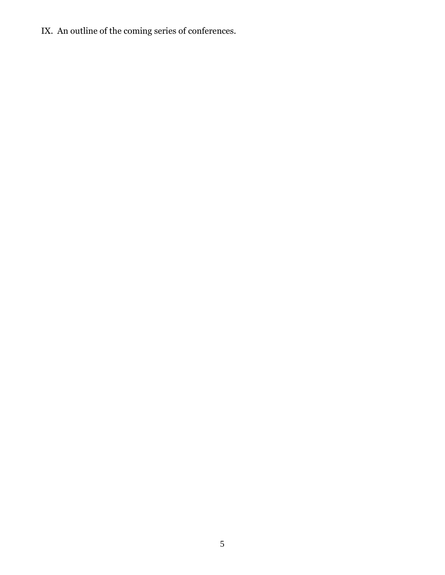IX. An outline of the coming series of conferences.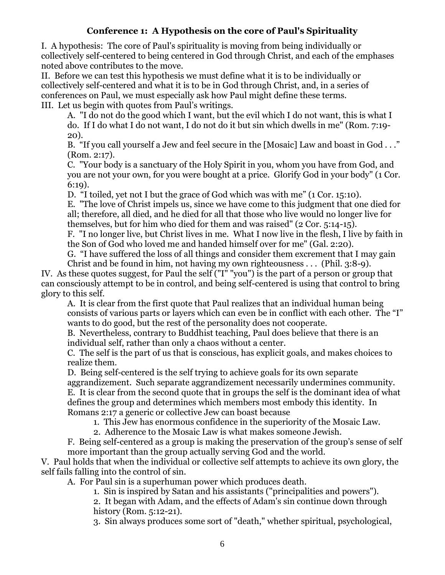### **Conference 1: A Hypothesis on the core of Paul's Spirituality**

<span id="page-6-0"></span>I. A hypothesis: The core of Paul's spirituality is moving from being individually or collectively self-centered to being centered in God through Christ, and each of the emphases noted above contributes to the move.

II. Before we can test this hypothesis we must define what it is to be individually or collectively self-centered and what it is to be in God through Christ, and, in a series of conferences on Paul, we must especially ask how Paul might define these terms. III. Let us begin with quotes from Paul's writings.

A. "I do not do the good which I want, but the evil which I do not want, this is what I do. If I do what I do not want, I do not do it but sin which dwells in me" (Rom. 7:19- 20).

B. "If you call yourself a Jew and feel secure in the [Mosaic] Law and boast in God . . ." (Rom. 2:17).

C. "Your body is a sanctuary of the Holy Spirit in you, whom you have from God, and you are not your own, for you were bought at a price. Glorify God in your body" (1 Cor. 6:19).

D. "I toiled, yet not I but the grace of God which was with me" (1 Cor. 15:10).

E. "The love of Christ impels us, since we have come to this judgment that one died for all; therefore, all died, and he died for all that those who live would no longer live for themselves, but for him who died for them and was raised" (2 Cor. 5:14-15).

F. "I no longer live, but Christ lives in me. What I now live in the flesh, I live by faith in the Son of God who loved me and handed himself over for me" (Gal. 2:20).

G. "I have suffered the loss of all things and consider them excrement that I may gain Christ and be found in him, not having my own righteousness . . . (Phil. 3:8-9).

IV. As these quotes suggest, for Paul the self ("I" "you") is the part of a person or group that can consciously attempt to be in control, and being self-centered is using that control to bring glory to this self.

A. It is clear from the first quote that Paul realizes that an individual human being consists of various parts or layers which can even be in conflict with each other. The "I" wants to do good, but the rest of the personality does not cooperate.

B. Nevertheless, contrary to Buddhist teaching, Paul does believe that there is an individual self, rather than only a chaos without a center.

C. The self is the part of us that is conscious, has explicit goals, and makes choices to realize them.

D. Being self-centered is the self trying to achieve goals for its own separate aggrandizement. Such separate aggrandizement necessarily undermines community. E. It is clear from the second quote that in groups the self is the dominant idea of what defines the group and determines which members most embody this identity. In Romans 2:17 a generic or collective Jew can boast because

1. This Jew has enormous confidence in the superiority of the Mosaic Law.

2. Adherence to the Mosaic Law is what makes someone Jewish.

F. Being self-centered as a group is making the preservation of the group's sense of self more important than the group actually serving God and the world.

V. Paul holds that when the individual or collective self attempts to achieve its own glory, the self fails falling into the control of sin.

A. For Paul sin is a superhuman power which produces death.

1. Sin is inspired by Satan and his assistants ("principalities and powers").

2. It began with Adam, and the effects of Adam's sin continue down through history (Rom. 5:12-21).

3. Sin always produces some sort of "death," whether spiritual, psychological,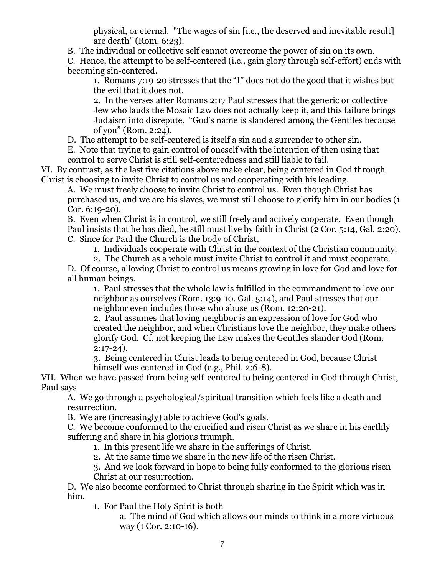physical, or eternal. "The wages of sin [i.e., the deserved and inevitable result] are death" (Rom. 6:23).

B. The individual or collective self cannot overcome the power of sin on its own.

C. Hence, the attempt to be self-centered (i.e., gain glory through self-effort) ends with becoming sin-centered.

1. Romans 7:19-20 stresses that the "I" does not do the good that it wishes but the evil that it does not.

2. In the verses after Romans 2:17 Paul stresses that the generic or collective Jew who lauds the Mosaic Law does not actually keep it, and this failure brings Judaism into disrepute. "God's name is slandered among the Gentiles because of you" (Rom. 2:24).

D. The attempt to be self-centered is itself a sin and a surrender to other sin.

E. Note that trying to gain control of oneself with the intention of then using that control to serve Christ is still self-centeredness and still liable to fail.

VI. By contrast, as the last five citations above make clear, being centered in God through Christ is choosing to invite Christ to control us and cooperating with his leading.

A. We must freely choose to invite Christ to control us. Even though Christ has purchased us, and we are his slaves, we must still choose to glorify him in our bodies (1 Cor. 6:19-20).

B. Even when Christ is in control, we still freely and actively cooperate. Even though Paul insists that he has died, he still must live by faith in Christ (2 Cor. 5:14, Gal. 2:20). C. Since for Paul the Church is the body of Christ,

1. Individuals cooperate with Christ in the context of the Christian community.

2. The Church as a whole must invite Christ to control it and must cooperate.

D. Of course, allowing Christ to control us means growing in love for God and love for all human beings.

1. Paul stresses that the whole law is fulfilled in the commandment to love our neighbor as ourselves (Rom. 13:9-10, Gal. 5:14), and Paul stresses that our neighbor even includes those who abuse us (Rom. 12:20-21).

2. Paul assumes that loving neighbor is an expression of love for God who created the neighbor, and when Christians love the neighbor, they make others glorify God. Cf. not keeping the Law makes the Gentiles slander God (Rom. 2:17-24).

3. Being centered in Christ leads to being centered in God, because Christ himself was centered in God (e.g., Phil. 2:6-8).

VII. When we have passed from being self-centered to being centered in God through Christ, Paul says

A. We go through a psychological/spiritual transition which feels like a death and resurrection.

B. We are (increasingly) able to achieve God's goals.

C. We become conformed to the crucified and risen Christ as we share in his earthly suffering and share in his glorious triumph.

1. In this present life we share in the sufferings of Christ.

2. At the same time we share in the new life of the risen Christ.

3. And we look forward in hope to being fully conformed to the glorious risen Christ at our resurrection.

D. We also become conformed to Christ through sharing in the Spirit which was in him.

1. For Paul the Holy Spirit is both

a. The mind of God which allows our minds to think in a more virtuous way (1 Cor. 2:10-16).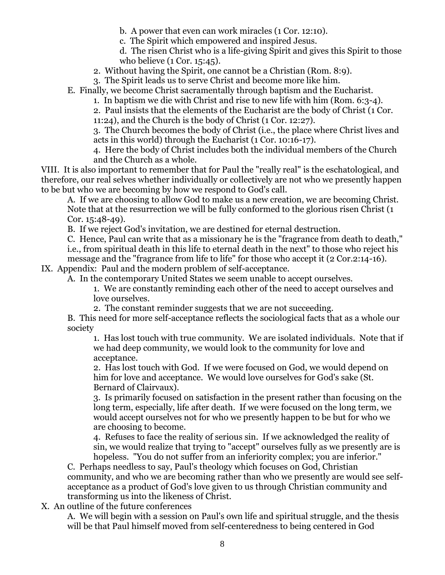- b. A power that even can work miracles (1 Cor. 12:10).
- c. The Spirit which empowered and inspired Jesus.
- d. The risen Christ who is a life-giving Spirit and gives this Spirit to those who believe (1 Cor. 15:45).
- 2. Without having the Spirit, one cannot be a Christian (Rom. 8:9).
- 3. The Spirit leads us to serve Christ and become more like him.
- E. Finally, we become Christ sacramentally through baptism and the Eucharist.
	- 1. In baptism we die with Christ and rise to new life with him (Rom. 6:3-4).

2. Paul insists that the elements of the Eucharist are the body of Christ (1 Cor.

11:24), and the Church is the body of Christ (1 Cor. 12:27).

3. The Church becomes the body of Christ (i.e., the place where Christ lives and acts in this world) through the Eucharist (1 Cor. 10:16-17).

4. Here the body of Christ includes both the individual members of the Church and the Church as a whole.

VIII. It is also important to remember that for Paul the "really real" is the eschatological, and therefore, our real selves whether individually or collectively are not who we presently happen to be but who we are becoming by how we respond to God's call.

A. If we are choosing to allow God to make us a new creation, we are becoming Christ. Note that at the resurrection we will be fully conformed to the glorious risen Christ (1 Cor. 15:48-49).

B. If we reject God's invitation, we are destined for eternal destruction.

C. Hence, Paul can write that as a missionary he is the "fragrance from death to death," i.e., from spiritual death in this life to eternal death in the next" to those who reject his message and the "fragrance from life to life" for those who accept it (2 Cor.2:14-16).

IX. Appendix: Paul and the modern problem of self-acceptance.

A. In the contemporary United States we seem unable to accept ourselves.

1. We are constantly reminding each other of the need to accept ourselves and love ourselves.

2. The constant reminder suggests that we are not succeeding.

B. This need for more self-acceptance reflects the sociological facts that as a whole our society

1. Has lost touch with true community. We are isolated individuals. Note that if we had deep community, we would look to the community for love and acceptance.

2. Has lost touch with God. If we were focused on God, we would depend on him for love and acceptance. We would love ourselves for God's sake (St. Bernard of Clairvaux).

3. Is primarily focused on satisfaction in the present rather than focusing on the long term, especially, life after death. If we were focused on the long term, we would accept ourselves not for who we presently happen to be but for who we are choosing to become.

4. Refuses to face the reality of serious sin. If we acknowledged the reality of sin, we would realize that trying to "accept" ourselves fully as we presently are is hopeless. "You do not suffer from an inferiority complex; you are inferior."

C. Perhaps needless to say, Paul's theology which focuses on God, Christian community, and who we are becoming rather than who we presently are would see selfacceptance as a product of God's love given to us through Christian community and transforming us into the likeness of Christ.

X. An outline of the future conferences

A. We will begin with a session on Paul's own life and spiritual struggle, and the thesis will be that Paul himself moved from self-centeredness to being centered in God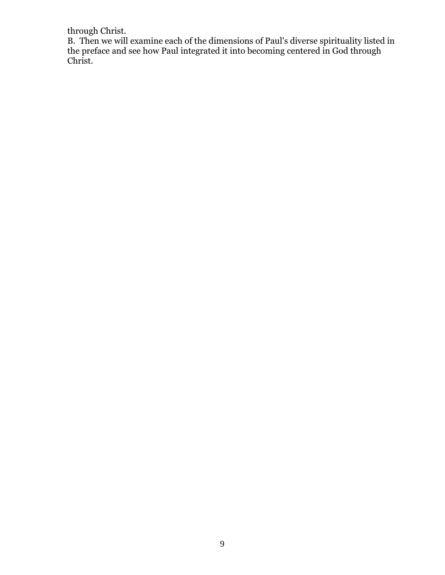through Christ.

B. Then we will examine each of the dimensions of Paul's diverse spirituality listed in the preface and see how Paul integrated it into becoming centered in God through Christ.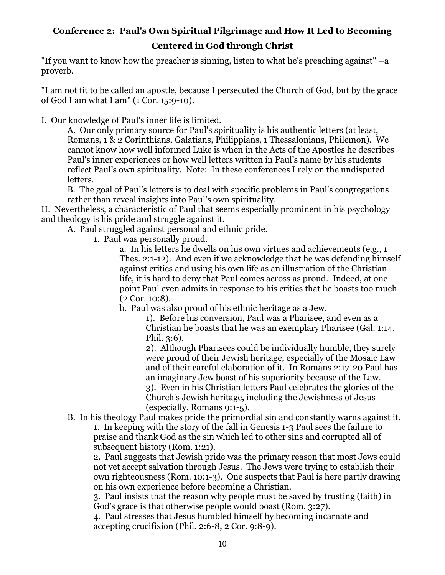## <span id="page-10-0"></span>**Conference 2: Paul's Own Spiritual Pilgrimage and How It Led to Becoming Centered in God through Christ**

"If you want to know how the preacher is sinning, listen to what he's preaching against"  $-a$ proverb.

"I am not fit to be called an apostle, because I persecuted the Church of God, but by the grace of God I am what I am" (1 Cor. 15:9-10).

I. Our knowledge of Paul's inner life is limited.

A. Our only primary source for Paul's spirituality is his authentic letters (at least, Romans, 1 & 2 Corinthians, Galatians, Philippians, 1 Thessalonians, Philemon). We cannot know how well informed Luke is when in the Acts of the Apostles he describes Paul's inner experiences or how well letters written in Paul's name by his students reflect Paul's own spirituality. Note: In these conferences I rely on the undisputed letters.

B. The goal of Paul's letters is to deal with specific problems in Paul's congregations rather than reveal insights into Paul's own spirituality.

II. Nevertheless, a characteristic of Paul that seems especially prominent in his psychology and theology is his pride and struggle against it.

A. Paul struggled against personal and ethnic pride.

1. Paul was personally proud.

a. In his letters he dwells on his own virtues and achievements (e.g., 1 Thes. 2:1-12). And even if we acknowledge that he was defending himself against critics and using his own life as an illustration of the Christian life, it is hard to deny that Paul comes across as proud. Indeed, at one point Paul even admits in response to his critics that he boasts too much (2 Cor. 10:8).

b. Paul was also proud of his ethnic heritage as a Jew.

1). Before his conversion, Paul was a Pharisee, and even as a Christian he boasts that he was an exemplary Pharisee (Gal. 1:14, Phil. 3:6).

2). Although Pharisees could be individually humble, they surely were proud of their Jewish heritage, especially of the Mosaic Law and of their careful elaboration of it. In Romans 2:17-20 Paul has an imaginary Jew boast of his superiority because of the Law. 3). Even in his Christian letters Paul celebrates the glories of the Church's Jewish heritage, including the Jewishness of Jesus (especially, Romans 9:1-5).

B. In his theology Paul makes pride the primordial sin and constantly warns against it.

1. In keeping with the story of the fall in Genesis 1-3 Paul sees the failure to praise and thank God as the sin which led to other sins and corrupted all of subsequent history (Rom. 1:21).

2. Paul suggests that Jewish pride was the primary reason that most Jews could not yet accept salvation through Jesus. The Jews were trying to establish their own righteousness (Rom. 10:1-3). One suspects that Paul is here partly drawing on his own experience before becoming a Christian.

3. Paul insists that the reason why people must be saved by trusting (faith) in God's grace is that otherwise people would boast (Rom. 3:27).

4. Paul stresses that Jesus humbled himself by becoming incarnate and accepting crucifixion (Phil. 2:6-8, 2 Cor. 9:8-9).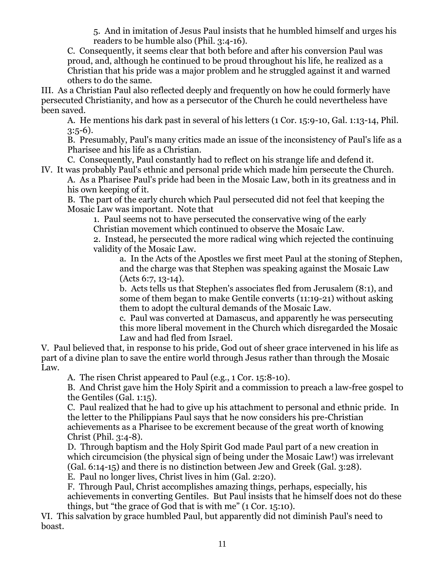5. And in imitation of Jesus Paul insists that he humbled himself and urges his readers to be humble also (Phil. 3:4-16).

C. Consequently, it seems clear that both before and after his conversion Paul was proud, and, although he continued to be proud throughout his life, he realized as a Christian that his pride was a major problem and he struggled against it and warned others to do the same.

III. As a Christian Paul also reflected deeply and frequently on how he could formerly have persecuted Christianity, and how as a persecutor of the Church he could nevertheless have been saved.

A. He mentions his dark past in several of his letters (1 Cor. 15:9-10, Gal. 1:13-14, Phil.  $3:5-6$ ).

B. Presumably, Paul's many critics made an issue of the inconsistency of Paul's life as a Pharisee and his life as a Christian.

C. Consequently, Paul constantly had to reflect on his strange life and defend it. IV. It was probably Paul's ethnic and personal pride which made him persecute the Church.

A. As a Pharisee Paul's pride had been in the Mosaic Law, both in its greatness and in his own keeping of it.

B. The part of the early church which Paul persecuted did not feel that keeping the Mosaic Law was important. Note that

1. Paul seems not to have persecuted the conservative wing of the early Christian movement which continued to observe the Mosaic Law.

2. Instead, he persecuted the more radical wing which rejected the continuing validity of the Mosaic Law.

a. In the Acts of the Apostles we first meet Paul at the stoning of Stephen, and the charge was that Stephen was speaking against the Mosaic Law (Acts 6:7, 13-14).

b. Acts tells us that Stephen's associates fled from Jerusalem (8:1), and some of them began to make Gentile converts (11:19-21) without asking them to adopt the cultural demands of the Mosaic Law.

c. Paul was converted at Damascus, and apparently he was persecuting this more liberal movement in the Church which disregarded the Mosaic Law and had fled from Israel.

V. Paul believed that, in response to his pride, God out of sheer grace intervened in his life as part of a divine plan to save the entire world through Jesus rather than through the Mosaic Law.

A. The risen Christ appeared to Paul (e.g., 1 Cor. 15:8-10).

B. And Christ gave him the Holy Spirit and a commission to preach a law-free gospel to the Gentiles (Gal. 1:15).

C. Paul realized that he had to give up his attachment to personal and ethnic pride. In the letter to the Philippians Paul says that he now considers his pre-Christian achievements as a Pharisee to be excrement because of the great worth of knowing Christ (Phil. 3:4-8).

D. Through baptism and the Holy Spirit God made Paul part of a new creation in which circumcision (the physical sign of being under the Mosaic Law!) was irrelevant (Gal. 6:14-15) and there is no distinction between Jew and Greek (Gal. 3:28). E. Paul no longer lives, Christ lives in him (Gal. 2:20).

F. Through Paul, Christ accomplishes amazing things, perhaps, especially, his achievements in converting Gentiles. But Paul insists that he himself does not do these things, but "the grace of God that is with me" (1 Cor. 15:10).

VI. This salvation by grace humbled Paul, but apparently did not diminish Paul's need to boast.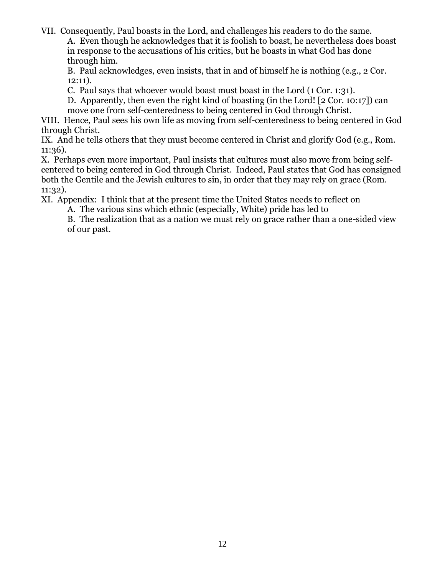VII. Consequently, Paul boasts in the Lord, and challenges his readers to do the same.

A. Even though he acknowledges that it is foolish to boast, he nevertheless does boast in response to the accusations of his critics, but he boasts in what God has done through him.

B. Paul acknowledges, even insists, that in and of himself he is nothing (e.g., 2 Cor. 12:11).

C. Paul says that whoever would boast must boast in the Lord (1 Cor. 1:31).

D. Apparently, then even the right kind of boasting (in the Lord! [2 Cor. 10:17]) can move one from self-centeredness to being centered in God through Christ.

VIII. Hence, Paul sees his own life as moving from self-centeredness to being centered in God through Christ.

IX. And he tells others that they must become centered in Christ and glorify God (e.g., Rom. 11:36).

X. Perhaps even more important, Paul insists that cultures must also move from being selfcentered to being centered in God through Christ. Indeed, Paul states that God has consigned both the Gentile and the Jewish cultures to sin, in order that they may rely on grace (Rom. 11:32).

XI. Appendix: I think that at the present time the United States needs to reflect on

A. The various sins which ethnic (especially, White) pride has led to

B. The realization that as a nation we must rely on grace rather than a one-sided view of our past.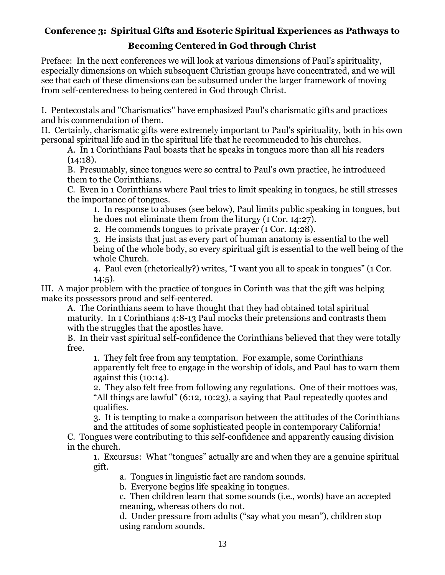### <span id="page-13-0"></span>**Conference 3: Spiritual Gifts and Esoteric Spiritual Experiences as Pathways to**

### **Becoming Centered in God through Christ**

Preface: In the next conferences we will look at various dimensions of Paul's spirituality, especially dimensions on which subsequent Christian groups have concentrated, and we will see that each of these dimensions can be subsumed under the larger framework of moving from self-centeredness to being centered in God through Christ.

I. Pentecostals and "Charismatics" have emphasized Paul's charismatic gifts and practices and his commendation of them.

II. Certainly, charismatic gifts were extremely important to Paul's spirituality, both in his own personal spiritual life and in the spiritual life that he recommended to his churches.

A. In 1 Corinthians Paul boasts that he speaks in tongues more than all his readers  $(14:18).$ 

B. Presumably, since tongues were so central to Paul's own practice, he introduced them to the Corinthians.

C. Even in 1 Corinthians where Paul tries to limit speaking in tongues, he still stresses the importance of tongues.

1. In response to abuses (see below), Paul limits public speaking in tongues, but he does not eliminate them from the liturgy (1 Cor. 14:27).

2. He commends tongues to private prayer (1 Cor. 14:28).

3. He insists that just as every part of human anatomy is essential to the well being of the whole body, so every spiritual gift is essential to the well being of the whole Church.

4. Paul even (rhetorically?) writes, "I want you all to speak in tongues" (1 Cor.  $14:5$ ).

III. A major problem with the practice of tongues in Corinth was that the gift was helping make its possessors proud and self-centered.

A. The Corinthians seem to have thought that they had obtained total spiritual maturity. In 1 Corinthians 4:8-13 Paul mocks their pretensions and contrasts them with the struggles that the apostles have.

B. In their vast spiritual self-confidence the Corinthians believed that they were totally free.

1. They felt free from any temptation. For example, some Corinthians apparently felt free to engage in the worship of idols, and Paul has to warn them against this (10:14).

2. They also felt free from following any regulations. One of their mottoes was, "All things are lawful" (6:12, 10:23), a saying that Paul repeatedly quotes and qualifies.

3. It is tempting to make a comparison between the attitudes of the Corinthians and the attitudes of some sophisticated people in contemporary California!

C. Tongues were contributing to this self-confidence and apparently causing division in the church.

1. Excursus: What "tongues" actually are and when they are a genuine spiritual gift.

a. Tongues in linguistic fact are random sounds.

b. Everyone begins life speaking in tongues.

c. Then children learn that some sounds (i.e., words) have an accepted meaning, whereas others do not.

d. Under pressure from adults ("say what you mean"), children stop using random sounds.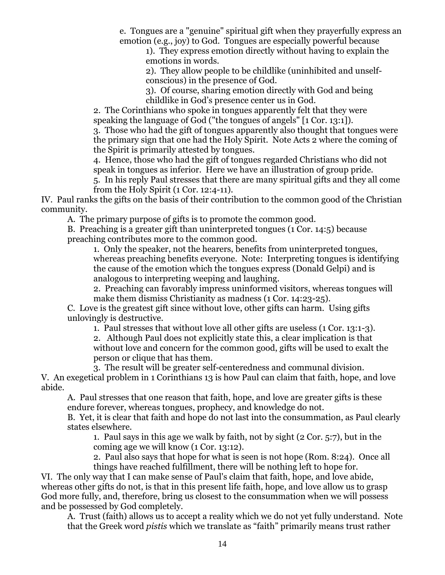e. Tongues are a "genuine" spiritual gift when they prayerfully express an emotion (e.g., joy) to God. Tongues are especially powerful because

1). They express emotion directly without having to explain the emotions in words.

2). They allow people to be childlike (uninhibited and unselfconscious) in the presence of God.

3). Of course, sharing emotion directly with God and being childlike in God's presence center us in God.

2. The Corinthians who spoke in tongues apparently felt that they were speaking the language of God ("the tongues of angels" [1 Cor. 13:1]).

3. Those who had the gift of tongues apparently also thought that tongues were the primary sign that one had the Holy Spirit. Note Acts 2 where the coming of the Spirit is primarily attested by tongues.

4. Hence, those who had the gift of tongues regarded Christians who did not speak in tongues as inferior. Here we have an illustration of group pride.

5. In his reply Paul stresses that there are many spiritual gifts and they all come from the Holy Spirit (1 Cor. 12:4-11).

IV. Paul ranks the gifts on the basis of their contribution to the common good of the Christian community.

A. The primary purpose of gifts is to promote the common good.

B. Preaching is a greater gift than uninterpreted tongues (1 Cor. 14:5) because preaching contributes more to the common good.

1. Only the speaker, not the hearers, benefits from uninterpreted tongues, whereas preaching benefits everyone. Note: Interpreting tongues is identifying the cause of the emotion which the tongues express (Donald Gelpi) and is analogous to interpreting weeping and laughing.

2. Preaching can favorably impress uninformed visitors, whereas tongues will make them dismiss Christianity as madness (1 Cor. 14:23-25).

C. Love is the greatest gift since without love, other gifts can harm. Using gifts unlovingly is destructive.

1. Paul stresses that without love all other gifts are useless (1 Cor. 13:1-3).

2. Although Paul does not explicitly state this, a clear implication is that without love and concern for the common good, gifts will be used to exalt the person or clique that has them.

3. The result will be greater self-centeredness and communal division.

V. An exegetical problem in 1 Corinthians 13 is how Paul can claim that faith, hope, and love abide.

A. Paul stresses that one reason that faith, hope, and love are greater gifts is these endure forever, whereas tongues, prophecy, and knowledge do not.

B. Yet, it is clear that faith and hope do not last into the consummation, as Paul clearly states elsewhere.

1. Paul says in this age we walk by faith, not by sight (2 Cor. 5:7), but in the coming age we will know (1 Cor. 13:12).

2. Paul also says that hope for what is seen is not hope (Rom. 8:24). Once all things have reached fulfillment, there will be nothing left to hope for.

VI. The only way that I can make sense of Paul's claim that faith, hope, and love abide, whereas other gifts do not, is that in this present life faith, hope, and love allow us to grasp God more fully, and, therefore, bring us closest to the consummation when we will possess and be possessed by God completely.

A. Trust (faith) allows us to accept a reality which we do not yet fully understand. Note that the Greek word *pistis* which we translate as "faith" primarily means trust rather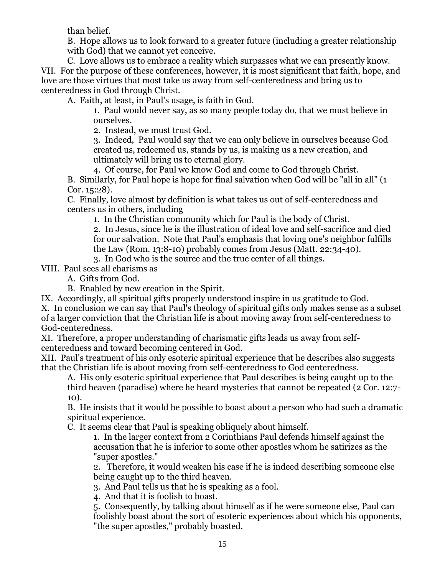than belief.

B. Hope allows us to look forward to a greater future (including a greater relationship with God) that we cannot yet conceive.

C. Love allows us to embrace a reality which surpasses what we can presently know. VII. For the purpose of these conferences, however, it is most significant that faith, hope, and love are those virtues that most take us away from self-centeredness and bring us to centeredness in God through Christ.

A. Faith, at least, in Paul's usage, is faith in God.

1. Paul would never say, as so many people today do, that we must believe in ourselves.

2. Instead, we must trust God.

3. Indeed, Paul would say that we can only believe in ourselves because God created us, redeemed us, stands by us, is making us a new creation, and ultimately will bring us to eternal glory.

4. Of course, for Paul we know God and come to God through Christ. B. Similarly, for Paul hope is hope for final salvation when God will be "all in all" (1 Cor. 15:28).

C. Finally, love almost by definition is what takes us out of self-centeredness and centers us in others, including

1. In the Christian community which for Paul is the body of Christ.

2. In Jesus, since he is the illustration of ideal love and self-sacrifice and died for our salvation. Note that Paul's emphasis that loving one's neighbor fulfills the Law (Rom. 13:8-10) probably comes from Jesus (Matt. 22:34-40). 3. In God who is the source and the true center of all things.

VIII. Paul sees all charisms as

A. Gifts from God.

B. Enabled by new creation in the Spirit.

IX. Accordingly, all spiritual gifts properly understood inspire in us gratitude to God. X. In conclusion we can say that Paul's theology of spiritual gifts only makes sense as a subset of a larger conviction that the Christian life is about moving away from self-centeredness to God-centeredness.

XI. Therefore, a proper understanding of charismatic gifts leads us away from selfcenteredness and toward becoming centered in God.

XII. Paul's treatment of his only esoteric spiritual experience that he describes also suggests that the Christian life is about moving from self-centeredness to God centeredness.

A. His only esoteric spiritual experience that Paul describes is being caught up to the third heaven (paradise) where he heard mysteries that cannot be repeated (2 Cor. 12:7- 10).

B. He insists that it would be possible to boast about a person who had such a dramatic spiritual experience.

C. It seems clear that Paul is speaking obliquely about himself.

1. In the larger context from 2 Corinthians Paul defends himself against the accusation that he is inferior to some other apostles whom he satirizes as the "super apostles."

2. Therefore, it would weaken his case if he is indeed describing someone else being caught up to the third heaven.

3. And Paul tells us that he is speaking as a fool.

4. And that it is foolish to boast.

5. Consequently, by talking about himself as if he were someone else, Paul can foolishly boast about the sort of esoteric experiences about which his opponents, "the super apostles," probably boasted.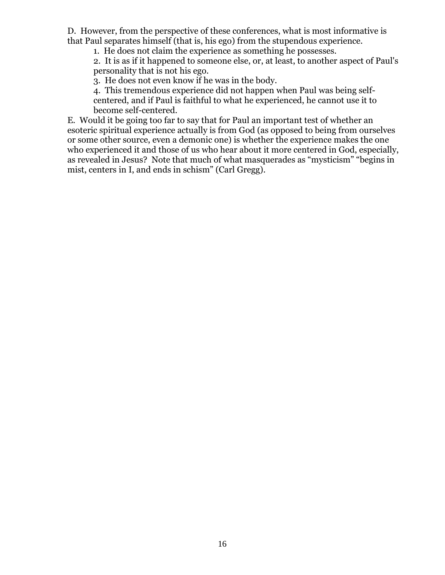D. However, from the perspective of these conferences, what is most informative is that Paul separates himself (that is, his ego) from the stupendous experience.

1. He does not claim the experience as something he possesses.

2. It is as if it happened to someone else, or, at least, to another aspect of Paul's personality that is not his ego.

3. He does not even know if he was in the body.

4. This tremendous experience did not happen when Paul was being selfcentered, and if Paul is faithful to what he experienced, he cannot use it to become self-centered.

E. Would it be going too far to say that for Paul an important test of whether an esoteric spiritual experience actually is from God (as opposed to being from ourselves or some other source, even a demonic one) is whether the experience makes the one who experienced it and those of us who hear about it more centered in God, especially, as revealed in Jesus? Note that much of what masquerades as "mysticism" "begins in mist, centers in I, and ends in schism" (Carl Gregg).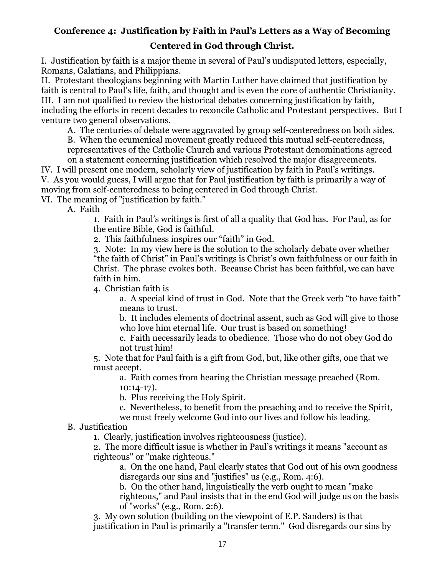## <span id="page-17-0"></span>**Conference 4: Justification by Faith in Paul's Letters as a Way of Becoming**

#### **Centered in God through Christ.**

I. Justification by faith is a major theme in several of Paul's undisputed letters, especially, Romans, Galatians, and Philippians.

II. Protestant theologians beginning with Martin Luther have claimed that justification by faith is central to Paul's life, faith, and thought and is even the core of authentic Christianity. III. I am not qualified to review the historical debates concerning justification by faith, including the efforts in recent decades to reconcile Catholic and Protestant perspectives. But I venture two general observations.

A. The centuries of debate were aggravated by group self-centeredness on both sides.

B. When the ecumenical movement greatly reduced this mutual self-centeredness, representatives of the Catholic Church and various Protestant denominations agreed on a statement concerning justification which resolved the major disagreements.

IV. I will present one modern, scholarly view of justification by faith in Paul's writings. V. As you would guess, I will argue that for Paul justification by faith is primarily a way of moving from self-centeredness to being centered in God through Christ.

VI. The meaning of "justification by faith."

A. Faith

1. Faith in Paul's writings is first of all a quality that God has. For Paul, as for the entire Bible, God is faithful.

2. This faithfulness inspires our "faith" in God.

3. Note: In my view here is the solution to the scholarly debate over whether "the faith of Christ" in Paul's writings is Christ's own faithfulness or our faith in Christ. The phrase evokes both. Because Christ has been faithful, we can have faith in him.

4. Christian faith is

a. A special kind of trust in God. Note that the Greek verb "to have faith" means to trust.

b. It includes elements of doctrinal assent, such as God will give to those who love him eternal life. Our trust is based on something!

c. Faith necessarily leads to obedience. Those who do not obey God do not trust him!

5. Note that for Paul faith is a gift from God, but, like other gifts, one that we must accept.

a. Faith comes from hearing the Christian message preached (Rom. 10:14-17).

b. Plus receiving the Holy Spirit.

c. Nevertheless, to benefit from the preaching and to receive the Spirit,

we must freely welcome God into our lives and follow his leading.

#### B. Justification

1. Clearly, justification involves righteousness (justice).

2. The more difficult issue is whether in Paul's writings it means "account as righteous" or "make righteous."

a. On the one hand, Paul clearly states that God out of his own goodness disregards our sins and "justifies" us (e.g., Rom. 4:6).

b. On the other hand, linguistically the verb ought to mean "make righteous," and Paul insists that in the end God will judge us on the basis of "works" (e.g., Rom. 2:6).

3. My own solution (building on the viewpoint of E.P. Sanders) is that justification in Paul is primarily a "transfer term." God disregards our sins by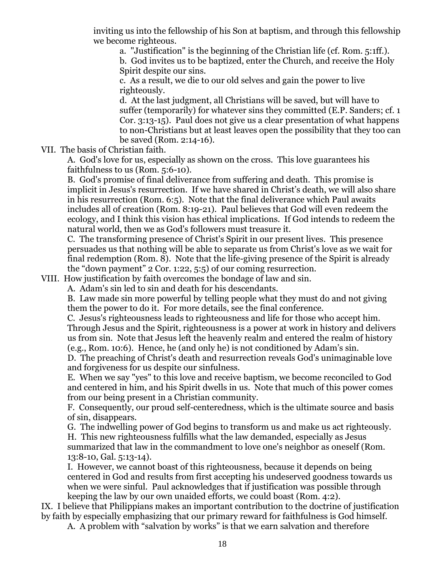inviting us into the fellowship of his Son at baptism, and through this fellowship we become righteous.

a. "Justification" is the beginning of the Christian life (cf. Rom. 5:1ff.). b. God invites us to be baptized, enter the Church, and receive the Holy Spirit despite our sins.

c. As a result, we die to our old selves and gain the power to live righteously.

d. At the last judgment, all Christians will be saved, but will have to suffer (temporarily) for whatever sins they committed (E.P. Sanders; cf. 1 Cor. 3:13-15). Paul does not give us a clear presentation of what happens to non-Christians but at least leaves open the possibility that they too can be saved (Rom. 2:14-16).

VII. The basis of Christian faith.

A. God's love for us, especially as shown on the cross. This love guarantees his faithfulness to us (Rom. 5:6-10).

B. God's promise of final deliverance from suffering and death. This promise is implicit in Jesus's resurrection. If we have shared in Christ's death, we will also share in his resurrection (Rom. 6:5). Note that the final deliverance which Paul awaits includes all of creation (Rom. 8:19-21). Paul believes that God will even redeem the ecology, and I think this vision has ethical implications. If God intends to redeem the natural world, then we as God's followers must treasure it.

C. The transforming presence of Christ's Spirit in our present lives. This presence persuades us that nothing will be able to separate us from Christ's love as we wait for final redemption (Rom. 8). Note that the life-giving presence of the Spirit is already the "down payment" 2 Cor. 1:22, 5:5) of our coming resurrection.

VIII. How justification by faith overcomes the bondage of law and sin.

A. Adam's sin led to sin and death for his descendants.

B. Law made sin more powerful by telling people what they must do and not giving them the power to do it. For more details, see the final conference.

C. Jesus's righteousness leads to righteousness and life for those who accept him. Through Jesus and the Spirit, righteousness is a power at work in history and delivers us from sin. Note that Jesus left the heavenly realm and entered the realm of history (e.g., Rom. 10:6). Hence, he (and only he) is not conditioned by Adam's sin.

D. The preaching of Christ's death and resurrection reveals God's unimaginable love and forgiveness for us despite our sinfulness.

E. When we say "yes" to this love and receive baptism, we become reconciled to God and centered in him, and his Spirit dwells in us. Note that much of this power comes from our being present in a Christian community.

F. Consequently, our proud self-centeredness, which is the ultimate source and basis of sin, disappears.

G. The indwelling power of God begins to transform us and make us act righteously. H. This new righteousness fulfills what the law demanded, especially as Jesus summarized that law in the commandment to love one's neighbor as oneself (Rom. 13:8-10, Gal. 5:13-14).

I. However, we cannot boast of this righteousness, because it depends on being centered in God and results from first accepting his undeserved goodness towards us when we were sinful. Paul acknowledges that if justification was possible through keeping the law by our own unaided efforts, we could boast (Rom. 4:2).

IX. I believe that Philippians makes an important contribution to the doctrine of justification by faith by especially emphasizing that our primary reward for faithfulness is God himself.

A. A problem with "salvation by works" is that we earn salvation and therefore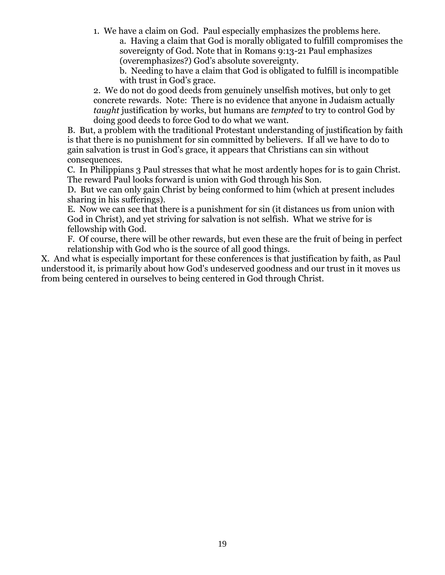1. We have a claim on God. Paul especially emphasizes the problems here. a. Having a claim that God is morally obligated to fulfill compromises the sovereignty of God. Note that in Romans 9:13-21 Paul emphasizes (overemphasizes?) God's absolute sovereignty.

b. Needing to have a claim that God is obligated to fulfill is incompatible with trust in God's grace.

2. We do not do good deeds from genuinely unselfish motives, but only to get concrete rewards. Note: There is no evidence that anyone in Judaism actually *taught* justification by works, but humans are *tempted* to try to control God by doing good deeds to force God to do what we want.

B. But, a problem with the traditional Protestant understanding of justification by faith is that there is no punishment for sin committed by believers. If all we have to do to gain salvation is trust in God's grace, it appears that Christians can sin without consequences.

C. In Philippians 3 Paul stresses that what he most ardently hopes for is to gain Christ. The reward Paul looks forward is union with God through his Son.

D. But we can only gain Christ by being conformed to him (which at present includes sharing in his sufferings).

E. Now we can see that there is a punishment for sin (it distances us from union with God in Christ), and yet striving for salvation is not selfish. What we strive for is fellowship with God.

F. Of course, there will be other rewards, but even these are the fruit of being in perfect relationship with God who is the source of all good things.

X. And what is especially important for these conferences is that justification by faith, as Paul understood it, is primarily about how God's undeserved goodness and our trust in it moves us from being centered in ourselves to being centered in God through Christ.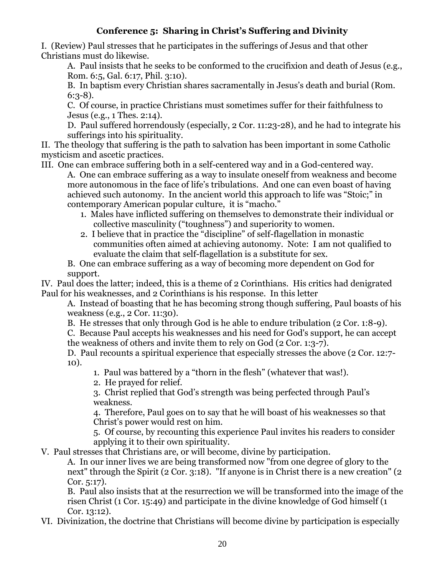### **Conference 5: Sharing in Christ's Suffering and Divinity**

<span id="page-20-0"></span>I. (Review) Paul stresses that he participates in the sufferings of Jesus and that other Christians must do likewise.

A. Paul insists that he seeks to be conformed to the crucifixion and death of Jesus (e.g., Rom. 6:5, Gal. 6:17, Phil. 3:10).

B. In baptism every Christian shares sacramentally in Jesus's death and burial (Rom. 6:3-8).

C. Of course, in practice Christians must sometimes suffer for their faithfulness to Jesus (e.g., 1 Thes. 2:14).

D. Paul suffered horrendously (especially, 2 Cor. 11:23-28), and he had to integrate his sufferings into his spirituality.

II. The theology that suffering is the path to salvation has been important in some Catholic mysticism and ascetic practices.

III. One can embrace suffering both in a self-centered way and in a God-centered way.

A. One can embrace suffering as a way to insulate oneself from weakness and become more autonomous in the face of life's tribulations. And one can even boast of having achieved such autonomy. In the ancient world this approach to life was "Stoic;" in contemporary American popular culture, it is "macho."

- 1. Males have inflicted suffering on themselves to demonstrate their individual or collective masculinity ("toughness") and superiority to women.
- 2. I believe that in practice the "discipline" of self-flagellation in monastic communities often aimed at achieving autonomy. Note: I am not qualified to evaluate the claim that self-flagellation is a substitute for sex.

B. One can embrace suffering as a way of becoming more dependent on God for support.

IV. Paul does the latter; indeed, this is a theme of 2 Corinthians. His critics had denigrated Paul for his weaknesses, and 2 Corinthians is his response. In this letter

A. Instead of boasting that he has becoming strong though suffering, Paul boasts of his weakness (e.g., 2 Cor. 11:30).

B. He stresses that only through God is he able to endure tribulation (2 Cor. 1:8-9).

C. Because Paul accepts his weaknesses and his need for God's support, he can accept the weakness of others and invite them to rely on God (2 Cor. 1:3-7).

D. Paul recounts a spiritual experience that especially stresses the above (2 Cor. 12:7- 10).

1. Paul was battered by a "thorn in the flesh" (whatever that was!).

2. He prayed for relief.

3. Christ replied that God's strength was being perfected through Paul's weakness.

4. Therefore, Paul goes on to say that he will boast of his weaknesses so that Christ's power would rest on him.

5. Of course, by recounting this experience Paul invites his readers to consider applying it to their own spirituality.

V. Paul stresses that Christians are, or will become, divine by participation.

A. In our inner lives we are being transformed now "from one degree of glory to the next" through the Spirit (2 Cor. 3:18). "If anyone is in Christ there is a new creation" (2 Cor. 5:17).

B. Paul also insists that at the resurrection we will be transformed into the image of the risen Christ (1 Cor. 15:49) and participate in the divine knowledge of God himself (1 Cor. 13:12).

VI. Divinization, the doctrine that Christians will become divine by participation is especially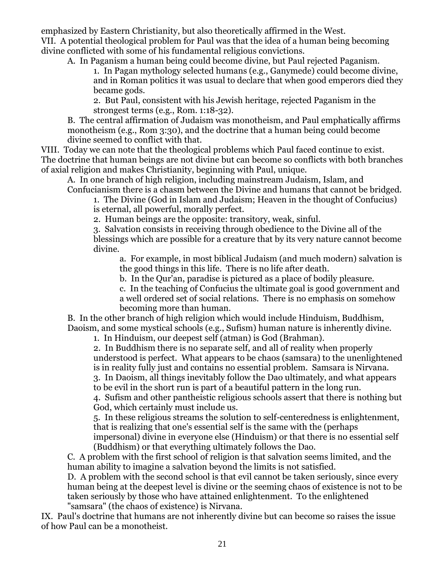emphasized by Eastern Christianity, but also theoretically affirmed in the West. VII. A potential theological problem for Paul was that the idea of a human being becoming divine conflicted with some of his fundamental religious convictions.

A. In Paganism a human being could become divine, but Paul rejected Paganism.

1. In Pagan mythology selected humans (e.g., Ganymede) could become divine, and in Roman politics it was usual to declare that when good emperors died they became gods.

2. But Paul, consistent with his Jewish heritage, rejected Paganism in the strongest terms (e.g., Rom. 1:18-32).

B. The central affirmation of Judaism was monotheism, and Paul emphatically affirms monotheism (e.g., Rom 3:30), and the doctrine that a human being could become divine seemed to conflict with that.

VIII. Today we can note that the theological problems which Paul faced continue to exist. The doctrine that human beings are not divine but can become so conflicts with both branches of axial religion and makes Christianity, beginning with Paul, unique.

A. In one branch of high religion, including mainstream Judaism, Islam, and Confucianism there is a chasm between the Divine and humans that cannot be bridged.

1. The Divine (God in Islam and Judaism; Heaven in the thought of Confucius) is eternal, all powerful, morally perfect.

2. Human beings are the opposite: transitory, weak, sinful.

3. Salvation consists in receiving through obedience to the Divine all of the blessings which are possible for a creature that by its very nature cannot become divine.

a. For example, in most biblical Judaism (and much modern) salvation is the good things in this life. There is no life after death.

b. In the Qur'an, paradise is pictured as a place of bodily pleasure.

c. In the teaching of Confucius the ultimate goal is good government and a well ordered set of social relations. There is no emphasis on somehow

becoming more than human.

B. In the other branch of high religion which would include Hinduism, Buddhism, Daoism, and some mystical schools (e.g., Sufism) human nature is inherently divine.

1. In Hinduism, our deepest self (atman) is God (Brahman).

2. In Buddhism there is no separate self, and all of reality when properly understood is perfect. What appears to be chaos (samsara) to the unenlightened is in reality fully just and contains no essential problem. Samsara is Nirvana.

3. In Daoism, all things inevitably follow the Dao ultimately, and what appears to be evil in the short run is part of a beautiful pattern in the long run.

4. Sufism and other pantheistic religious schools assert that there is nothing but God, which certainly must include us.

5. In these religious streams the solution to self-centeredness is enlightenment, that is realizing that one's essential self is the same with the (perhaps impersonal) divine in everyone else (Hinduism) or that there is no essential self (Buddhism) or that everything ultimately follows the Dao.

C. A problem with the first school of religion is that salvation seems limited, and the human ability to imagine a salvation beyond the limits is not satisfied.

D. A problem with the second school is that evil cannot be taken seriously, since every human being at the deepest level is divine or the seeming chaos of existence is not to be taken seriously by those who have attained enlightenment. To the enlightened "samsara" (the chaos of existence) is Nirvana.

IX. Paul's doctrine that humans are not inherently divine but can become so raises the issue of how Paul can be a monotheist.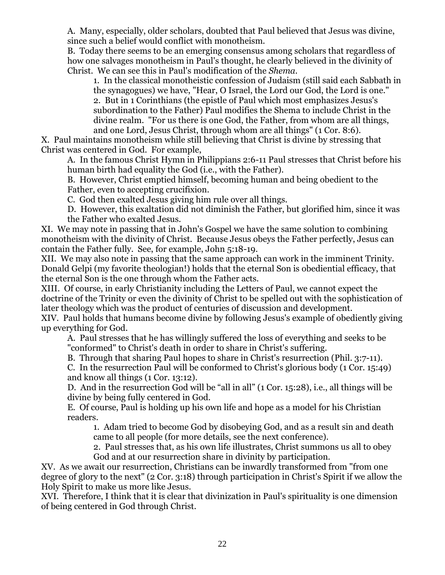A. Many, especially, older scholars, doubted that Paul believed that Jesus was divine, since such a belief would conflict with monotheism.

B. Today there seems to be an emerging consensus among scholars that regardless of how one salvages monotheism in Paul's thought, he clearly believed in the divinity of Christ. We can see this in Paul's modification of the *Shema*.

1. In the classical monotheistic confession of Judaism (still said each Sabbath in the synagogues) we have, "Hear, O Israel, the Lord our God, the Lord is one."

2. But in 1 Corinthians (the epistle of Paul which most emphasizes Jesus's subordination to the Father) Paul modifies the Shema to include Christ in the divine realm. "For us there is one God, the Father, from whom are all things, and one Lord, Jesus Christ, through whom are all things" (1 Cor. 8:6).

X. Paul maintains monotheism while still believing that Christ is divine by stressing that Christ was centered in God. For example,

A. In the famous Christ Hymn in Philippians 2:6-11 Paul stresses that Christ before his human birth had equality the God (i.e., with the Father).

B. However, Christ emptied himself, becoming human and being obedient to the Father, even to accepting crucifixion.

C. God then exalted Jesus giving him rule over all things.

D. However, this exaltation did not diminish the Father, but glorified him, since it was the Father who exalted Jesus.

XI. We may note in passing that in John's Gospel we have the same solution to combining monotheism with the divinity of Christ. Because Jesus obeys the Father perfectly, Jesus can contain the Father fully. See, for example, John 5:18-19.

XII. We may also note in passing that the same approach can work in the imminent Trinity. Donald Gelpi (my favorite theologian!) holds that the eternal Son is obediential efficacy, that the eternal Son is the one through whom the Father acts.

XIII. Of course, in early Christianity including the Letters of Paul, we cannot expect the doctrine of the Trinity or even the divinity of Christ to be spelled out with the sophistication of later theology which was the product of centuries of discussion and development.

XIV. Paul holds that humans become divine by following Jesus's example of obediently giving up everything for God.

A. Paul stresses that he has willingly suffered the loss of everything and seeks to be "conformed" to Christ's death in order to share in Christ's suffering.

B. Through that sharing Paul hopes to share in Christ's resurrection (Phil. 3:7-11).

C. In the resurrection Paul will be conformed to Christ's glorious body (1 Cor. 15:49) and know all things (1 Cor. 13:12).

D. And in the resurrection God will be "all in all" (1 Cor. 15:28), i.e., all things will be divine by being fully centered in God.

E. Of course, Paul is holding up his own life and hope as a model for his Christian readers.

1. Adam tried to become God by disobeying God, and as a result sin and death came to all people (for more details, see the next conference).

2. Paul stresses that, as his own life illustrates, Christ summons us all to obey God and at our resurrection share in divinity by participation.

XV. As we await our resurrection, Christians can be inwardly transformed from "from one degree of glory to the next" (2 Cor. 3:18) through participation in Christ's Spirit if we allow the Holy Spirit to make us more like Jesus.

XVI. Therefore, I think that it is clear that divinization in Paul's spirituality is one dimension of being centered in God through Christ.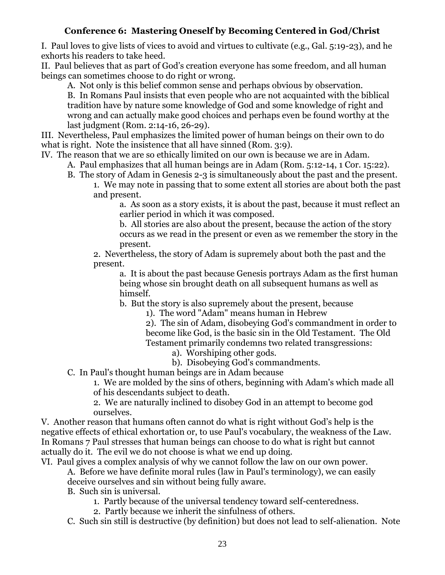### **Conference 6: Mastering Oneself by Becoming Centered in God/Christ**

<span id="page-23-0"></span>I. Paul loves to give lists of vices to avoid and virtues to cultivate (e.g., Gal. 5:19-23), and he exhorts his readers to take heed.

II. Paul believes that as part of God's creation everyone has some freedom, and all human beings can sometimes choose to do right or wrong.

A. Not only is this belief common sense and perhaps obvious by observation.

B. In Romans Paul insists that even people who are not acquainted with the biblical tradition have by nature some knowledge of God and some knowledge of right and wrong and can actually make good choices and perhaps even be found worthy at the last judgment (Rom. 2:14-16, 26-29).

III. Nevertheless, Paul emphasizes the limited power of human beings on their own to do what is right. Note the insistence that all have sinned (Rom. 3:9).

IV. The reason that we are so ethically limited on our own is because we are in Adam.

- A. Paul emphasizes that all human beings are in Adam (Rom. 5:12-14, 1 Cor. 15:22).
- B. The story of Adam in Genesis 2-3 is simultaneously about the past and the present. 1. We may note in passing that to some extent all stories are about both the past
	- and present.

a. As soon as a story exists, it is about the past, because it must reflect an earlier period in which it was composed.

b. All stories are also about the present, because the action of the story occurs as we read in the present or even as we remember the story in the present.

2. Nevertheless, the story of Adam is supremely about both the past and the present.

a. It is about the past because Genesis portrays Adam as the first human being whose sin brought death on all subsequent humans as well as himself.

b. But the story is also supremely about the present, because

1). The word "Adam" means human in Hebrew

2). The sin of Adam, disobeying God's commandment in order to become like God, is the basic sin in the Old Testament. The Old Testament primarily condemns two related transgressions:

- a). Worshiping other gods.
- b). Disobeying God's commandments.

C. In Paul's thought human beings are in Adam because

1. We are molded by the sins of others, beginning with Adam's which made all of his descendants subject to death.

2. We are naturally inclined to disobey God in an attempt to become god ourselves.

V. Another reason that humans often cannot do what is right without God's help is the negative effects of ethical exhortation or, to use Paul's vocabulary, the weakness of the Law. In Romans 7 Paul stresses that human beings can choose to do what is right but cannot actually do it. The evil we do not choose is what we end up doing.

VI. Paul gives a complex analysis of why we cannot follow the law on our own power.

A. Before we have definite moral rules (law in Paul's terminology), we can easily deceive ourselves and sin without being fully aware.

B. Such sin is universal.

- 1. Partly because of the universal tendency toward self-centeredness.
- 2. Partly because we inherit the sinfulness of others.

C. Such sin still is destructive (by definition) but does not lead to self-alienation. Note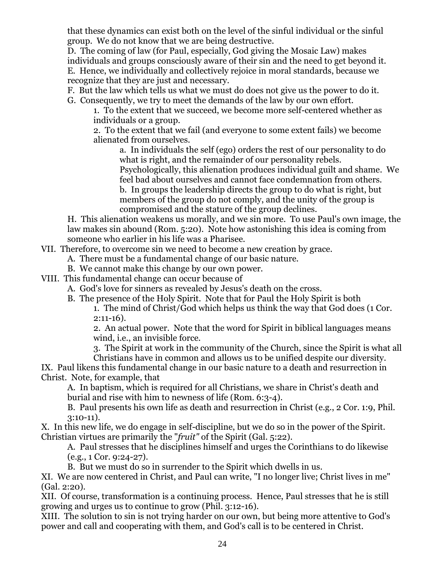that these dynamics can exist both on the level of the sinful individual or the sinful group. We do not know that we are being destructive.

D. The coming of law (for Paul, especially, God giving the Mosaic Law) makes individuals and groups consciously aware of their sin and the need to get beyond it. E. Hence, we individually and collectively rejoice in moral standards, because we recognize that they are just and necessary.

F. But the law which tells us what we must do does not give us the power to do it.

G. Consequently, we try to meet the demands of the law by our own effort.

1. To the extent that we succeed, we become more self-centered whether as individuals or a group.

2. To the extent that we fail (and everyone to some extent fails) we become alienated from ourselves.

a. In individuals the self (ego) orders the rest of our personality to do what is right, and the remainder of our personality rebels. Psychologically, this alienation produces individual guilt and shame. We feel bad about ourselves and cannot face condemnation from others. b. In groups the leadership directs the group to do what is right, but

members of the group do not comply, and the unity of the group is compromised and the stature of the group declines.

H. This alienation weakens us morally, and we sin more. To use Paul's own image, the law makes sin abound (Rom. 5:20). Note how astonishing this idea is coming from someone who earlier in his life was a Pharisee.

VII. Therefore, to overcome sin we need to become a new creation by grace.

A. There must be a fundamental change of our basic nature.

B. We cannot make this change by our own power.

VIII. This fundamental change can occur because of

A. God's love for sinners as revealed by Jesus's death on the cross.

B. The presence of the Holy Spirit. Note that for Paul the Holy Spirit is both

1. The mind of Christ/God which helps us think the way that God does (1 Cor. 2:11-16).

2. An actual power. Note that the word for Spirit in biblical languages means wind, i.e., an invisible force.

3. The Spirit at work in the community of the Church, since the Spirit is what all

Christians have in common and allows us to be unified despite our diversity. IX. Paul likens this fundamental change in our basic nature to a death and resurrection in Christ. Note, for example, that

A. In baptism, which is required for all Christians, we share in Christ's death and burial and rise with him to newness of life (Rom. 6:3-4).

B. Paul presents his own life as death and resurrection in Christ (e.g., 2 Cor. 1:9, Phil. 3:10-11).

X. In this new life, we do engage in self-discipline, but we do so in the power of the Spirit. Christian virtues are primarily the "*fruit"* of the Spirit (Gal. 5:22).

A. Paul stresses that he disciplines himself and urges the Corinthians to do likewise (e.g., 1 Cor. 9:24-27).

B. But we must do so in surrender to the Spirit which dwells in us.

XI. We are now centered in Christ, and Paul can write, "I no longer live; Christ lives in me" (Gal. 2:20).

XII. Of course, transformation is a continuing process. Hence, Paul stresses that he is still growing and urges us to continue to grow (Phil. 3:12-16).

XIII. The solution to sin is not trying harder on our own, but being more attentive to God's power and call and cooperating with them, and God's call is to be centered in Christ.